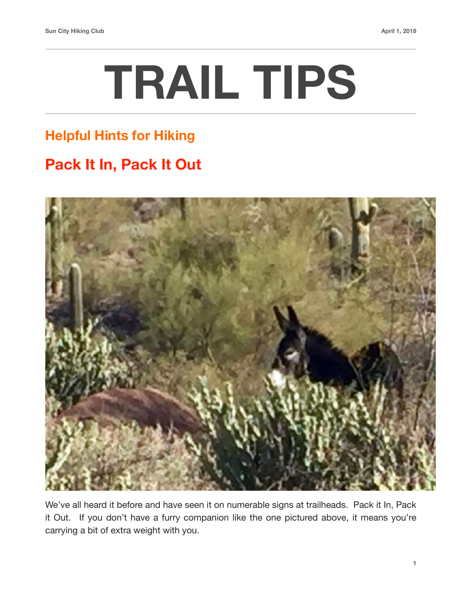# **TRAIL TIPS**

### **Helpful Hints for Hiking**

## **Pack It In, Pack It Out**



We've all heard it before and have seen it on numerable signs at trailheads. Pack it In, Pack it Out. If you don't have a furry companion like the one pictured above, it means you're carrying a bit of extra weight with you.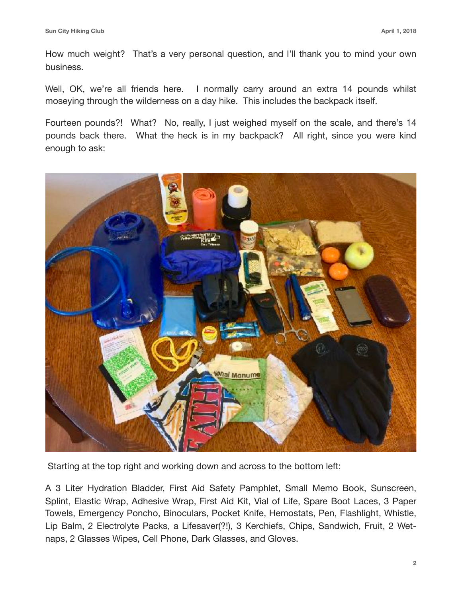How much weight? That's a very personal question, and I'll thank you to mind your own business.

Well, OK, we're all friends here. I normally carry around an extra 14 pounds whilst moseying through the wilderness on a day hike. This includes the backpack itself.

Fourteen pounds?! What? No, really, I just weighed myself on the scale, and there's 14 pounds back there. What the heck is in my backpack? All right, since you were kind enough to ask:



Starting at the top right and working down and across to the bottom left:

A 3 Liter Hydration Bladder, First Aid Safety Pamphlet, Small Memo Book, Sunscreen, Splint, Elastic Wrap, Adhesive Wrap, First Aid Kit, Vial of Life, Spare Boot Laces, 3 Paper Towels, Emergency Poncho, Binoculars, Pocket Knife, Hemostats, Pen, Flashlight, Whistle, Lip Balm, 2 Electrolyte Packs, a Lifesaver(?!), 3 Kerchiefs, Chips, Sandwich, Fruit, 2 Wetnaps, 2 Glasses Wipes, Cell Phone, Dark Glasses, and Gloves.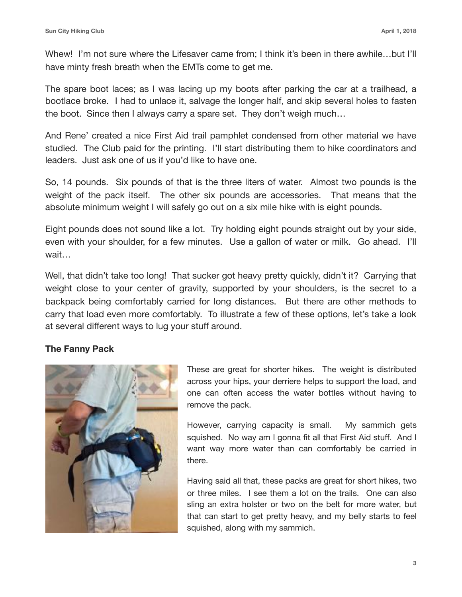Whew! I'm not sure where the Lifesaver came from; I think it's been in there awhile...but I'll have minty fresh breath when the EMTs come to get me.

The spare boot laces; as I was lacing up my boots after parking the car at a trailhead, a bootlace broke. I had to unlace it, salvage the longer half, and skip several holes to fasten the boot. Since then I always carry a spare set. They don't weigh much…

And Rene' created a nice First Aid trail pamphlet condensed from other material we have studied. The Club paid for the printing. I'll start distributing them to hike coordinators and leaders. Just ask one of us if you'd like to have one.

So, 14 pounds. Six pounds of that is the three liters of water. Almost two pounds is the weight of the pack itself. The other six pounds are accessories. That means that the absolute minimum weight I will safely go out on a six mile hike with is eight pounds.

Eight pounds does not sound like a lot. Try holding eight pounds straight out by your side, even with your shoulder, for a few minutes. Use a gallon of water or milk. Go ahead. I'll wait…

Well, that didn't take too long! That sucker got heavy pretty quickly, didn't it? Carrying that weight close to your center of gravity, supported by your shoulders, is the secret to a backpack being comfortably carried for long distances. But there are other methods to carry that load even more comfortably. To illustrate a few of these options, let's take a look at several different ways to lug your stuff around.

#### **The Fanny Pack**



These are great for shorter hikes. The weight is distributed across your hips, your derriere helps to support the load, and one can often access the water bottles without having to remove the pack.

However, carrying capacity is small. My sammich gets squished. No way am I gonna fit all that First Aid stuff. And I want way more water than can comfortably be carried in there.

Having said all that, these packs are great for short hikes, two or three miles. I see them a lot on the trails. One can also sling an extra holster or two on the belt for more water, but that can start to get pretty heavy, and my belly starts to feel squished, along with my sammich.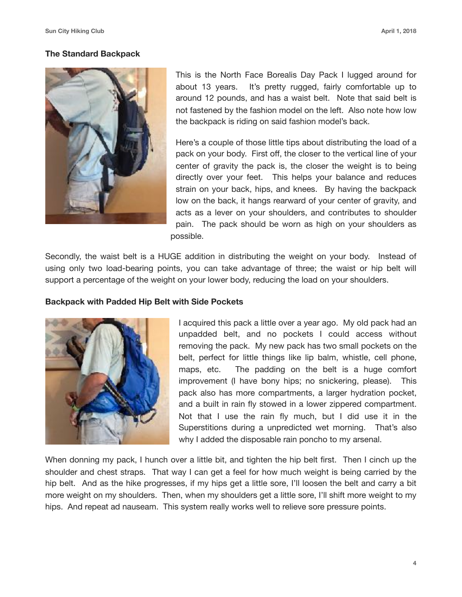#### **The Standard Backpack**



This is the North Face Borealis Day Pack I lugged around for about 13 years. It's pretty rugged, fairly comfortable up to around 12 pounds, and has a waist belt. Note that said belt is not fastened by the fashion model on the left. Also note how low the backpack is riding on said fashion model's back.

Here's a couple of those little tips about distributing the load of a pack on your body. First off, the closer to the vertical line of your center of gravity the pack is, the closer the weight is to being directly over your feet. This helps your balance and reduces strain on your back, hips, and knees. By having the backpack low on the back, it hangs rearward of your center of gravity, and acts as a lever on your shoulders, and contributes to shoulder pain. The pack should be worn as high on your shoulders as possible.

Secondly, the waist belt is a HUGE addition in distributing the weight on your body. Instead of using only two load-bearing points, you can take advantage of three; the waist or hip belt will support a percentage of the weight on your lower body, reducing the load on your shoulders.

#### **Backpack with Padded Hip Belt with Side Pockets**



I acquired this pack a little over a year ago. My old pack had an unpadded belt, and no pockets I could access without removing the pack. My new pack has two small pockets on the belt, perfect for little things like lip balm, whistle, cell phone, maps, etc. The padding on the belt is a huge comfort improvement (I have bony hips; no snickering, please). This pack also has more compartments, a larger hydration pocket, and a built in rain fly stowed in a lower zippered compartment. Not that I use the rain fly much, but I did use it in the Superstitions during a unpredicted wet morning. That's also why I added the disposable rain poncho to my arsenal.

When donning my pack, I hunch over a little bit, and tighten the hip belt first. Then I cinch up the shoulder and chest straps. That way I can get a feel for how much weight is being carried by the hip belt. And as the hike progresses, if my hips get a little sore, I'll loosen the belt and carry a bit more weight on my shoulders. Then, when my shoulders get a little sore, I'll shift more weight to my hips. And repeat ad nauseam. This system really works well to relieve sore pressure points.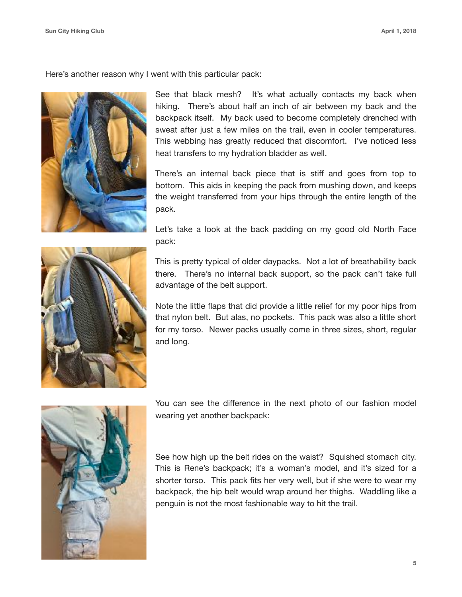Here's another reason why I went with this particular pack:



See that black mesh? It's what actually contacts my back when hiking. There's about half an inch of air between my back and the backpack itself. My back used to become completely drenched with sweat after just a few miles on the trail, even in cooler temperatures. This webbing has greatly reduced that discomfort. I've noticed less heat transfers to my hydration bladder as well.

There's an internal back piece that is stiff and goes from top to bottom. This aids in keeping the pack from mushing down, and keeps the weight transferred from your hips through the entire length of the pack.



Let's take a look at the back padding on my good old North Face pack:

This is pretty typical of older daypacks. Not a lot of breathability back there. There's no internal back support, so the pack can't take full advantage of the belt support.

Note the little flaps that did provide a little relief for my poor hips from that nylon belt. But alas, no pockets. This pack was also a little short for my torso. Newer packs usually come in three sizes, short, regular and long.



You can see the difference in the next photo of our fashion model wearing yet another backpack:

See how high up the belt rides on the waist? Squished stomach city. This is Rene's backpack; it's a woman's model, and it's sized for a shorter torso. This pack fits her very well, but if she were to wear my backpack, the hip belt would wrap around her thighs. Waddling like a penguin is not the most fashionable way to hit the trail.